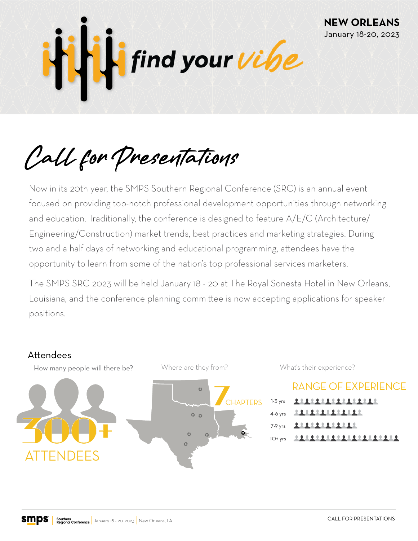

Call for Presentations

Now in its 20th year, the SMPS Southern Regional Conference (SRC) is an annual event focused on providing top-notch professional development opportunities through networking and education. Traditionally, the conference is designed to feature A/E/C (Architecture/ Engineering/Construction) market trends, best practices and marketing strategies. During two and a half days of networking and educational programming, attendees have the opportunity to learn from some of the nation's top professional services marketers.

The SMPS SRC 2023 will be held January 18 - 20 at The Royal Sonesta Hotel in New Orleans, Louisiana, and the conference planning committee is now accepting applications for speaker positions.







**RANGE OF EXPERIENCE** 11111111111111 1-3 yrs 4-6 yrs 11111111111 11111111111 7-9 yrs 1111111111111111111 10+ yrs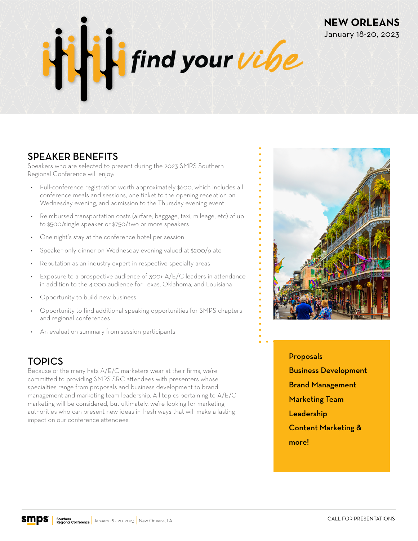

### SPEAKER BENEFITS

Speakers who are selected to present during the 2023 SMPS Southern Regional Conference will enjoy:

- Full-conference registration worth approximately \$600, which includes all conference meals and sessions, one ticket to the opening reception on Wednesday evening, and admission to the Thursday evening event
- Reimbursed transportation costs (airfare, baggage, taxi, mileage, etc) of up to \$500/single speaker or \$750/two or more speakers
- One night's stay at the conference hotel per session
- Speaker-only dinner on Wednesday evening valued at \$200/plate
- Reputation as an industry expert in respective specialty areas
- Exposure to a prospective audience of 300+ A/E/C leaders in attendance in addition to the 4,000 audience for Texas, Oklahoma, and Louisiana
- Opportunity to build new business
- Opportunity to find additional speaking opportunities for SMPS chapters and regional conferences
- An evaluation summary from session participants

## **TOPICS**

Because of the many hats A/E/C marketers wear at their firms, we're committed to providing SMPS SRC attendees with presenters whose specialties range from proposals and business development to brand management and marketing team leadership. All topics pertaining to A/E/C marketing will be considered, but ultimately, we're looking for marketing authorities who can present new ideas in fresh ways that will make a lasting impact on our conference attendees.



**NEW ORLEANS** January 18-20, 2023

### Proposals

Business Development

Brand Management

- Marketing Team
- Leadership

Content Marketing & more!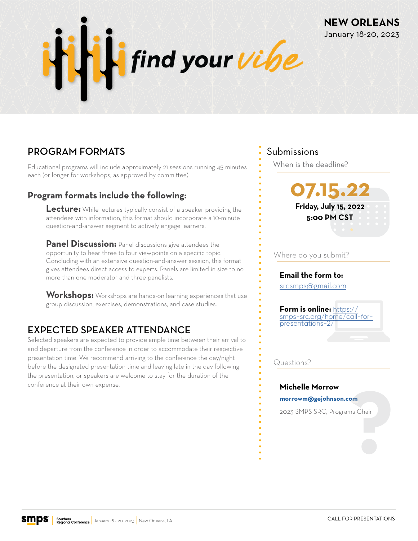

# PROGRAM FORMATS

Educational programs will include approximately 21 sessions running 45 minutes each (or longer for workshops, as approved by committee).

### **Program formats include the following:**

**Lecture:** While lectures typically consist of a speaker providing the attendees with information, this format should incorporate a 10-minute question-and-answer segment to actively engage learners.

**Panel Discussion:** Panel discussions give attendees the opportunity to hear three to four viewpoints on a specific topic. Concluding with an extensive question-and-answer session, this format gives attendees direct access to experts. Panels are limited in size to no more than one moderator and three panelists.

**Workshops:** Workshops are hands-on learning experiences that use group discussion, exercises, demonstrations, and case studies.

## EXPECTED SPEAKER ATTENDANCE

Selected speakers are expected to provide ample time between their arrival to and departure from the conference in order to accommodate their respective presentation time. We recommend arriving to the conference the day/night before the designated presentation time and leaving late in the day following the presentation, or speakers are welcome to stay for the duration of the conference at their own expense.

### Submissions

When is the deadline?



**NEW ORLEANS** January 18-20, 2023

#### Where do you submit?

### **Email the form to:**

[srcsmps@gmail.com](mailto:srcsmps%40gmail.com?subject=SRC%202022%20Call%20for%20Presentations)

**Form is online:** https:// [smps-src.org/home/call-for](https://smps-src.org/home/call-for-presentations-2/)presentations-2/

Questions?

#### **Michelle Morrow**

**morrowm@gejohnson.com**

2023 SMPS SRC, Programs Chair om<br>ms Chair<br>**Property Chair**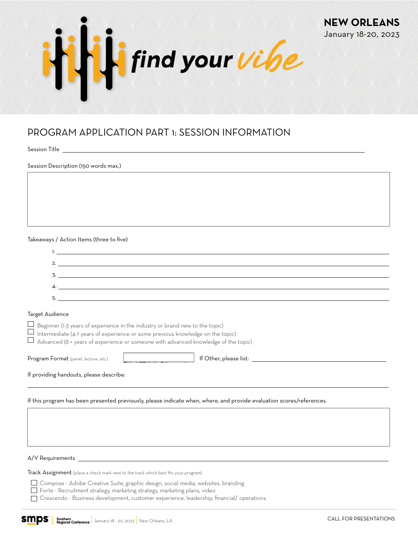

## PROGRAM APPLICATION PART 1: SESSION INFORMATION

Session Title

Session Description (150 words max.)

Takeaways / Action Items (three to five)

|    | <b>I</b> . The contract of the contract of the contract of the contract of the contract of the contract of the contract of |
|----|----------------------------------------------------------------------------------------------------------------------------|
| 2. |                                                                                                                            |
|    |                                                                                                                            |
| 3. |                                                                                                                            |
| 4  |                                                                                                                            |
| 5. |                                                                                                                            |
|    |                                                                                                                            |

#### Target Audience

 $\Box$  Beginner (1-3 years of experience in the industry or brand new to the topic)

 $\Box$  Intermediate (4-7 years of experience or some previous knowledge on the topic)

 $\Box$  Advanced (8 + years of experience or someone with advanced knowledge of the topic)

Program Format (panel, lecture, etc.)  $\parallel$   $\parallel$   $\parallel$  if Other, please list: Lecture Panel Discussion Roundtable Discussion Workshop Best Practices Other

If providing handouts, please describe:

If this program has been presented previously, please indicate when, where, and provide evaluation scores/references.

A/V Requirements

Track Assignment (place a check mark next to the track which best fits your program)

Compose - Adobe Creative Suite, graphic design, social media, websites, branding

Forte - Recruitment strategy, marketing strategy, marketing plans, video

Crescendo - Business development, customer experience, leadership, financial/ operations